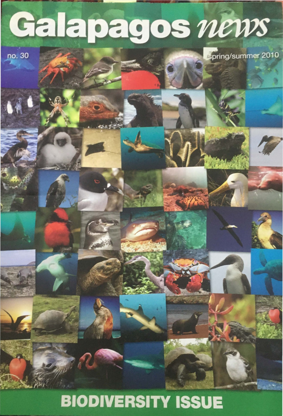## Galapagos news

no. 30

spring/summer 2010

## **BIODIVERSITY ISSUE**